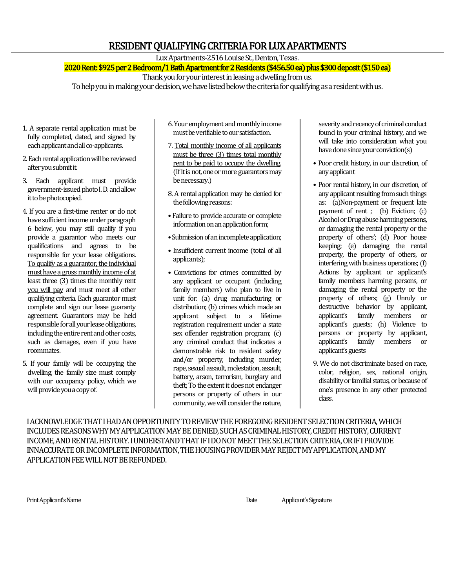# RESIDENT QUALIFYING CRITERIA FOR LUX APARTMENTS

Lux Apartments-2516 Louise St., Denton, Texas.

2020 Rent: \$925 per 2 Bedroom/1 Bath Apartment for 2 Residents (\$456.50 ea) plus \$300 deposit (\$150 ea)

Thank you for your interest in leasing a dwelling from us.

To help you in making your decision, we have listed below the criteria for qualifying as a resident with us.

- 1. A separate rental application must be fully completed, dated, and signed by each applicant and all co-applicants.
- 2. Each rental application will be reviewed after you submit it.
- 3. Each applicant must provide government-issued photo I. D. and allow it to be photocopied.
- 4. If you are a first-time renter or do not have sufficient income under paragraph 6 below, you may still qualify if you provide a guarantor who meets our qualifications and agrees to be responsible for your lease obligations. To qualify as a guarantor, the individual must have a gross monthly income of at least three (3) times the monthly rent you will pay and must meet all other qualifying criteria. Each guarantor must complete and sign our lease guaranty agreement. Guarantors may be held responsible for all your lease obligations, including the entire rent and other costs, such as damages, even if you have roommates.
- 5. If your family will be occupying the dwelling, the family size must comply with our occupancy policy, which we will provide you a copy of.
- 6. Your employment and monthly income must be verifiable to our satisfaction.
- 7. Total monthly income of all applicants must be three (3) times total monthly rent to be paid to occupy the dwelling. (If it is not, one or more guarantors may be necessary.)
- 8. A rental application may be denied for the following reasons:
- Failure to provide accurate or complete information on an application form;
- Submission of an incomplete application;
- Insufficient current income (total of all applicants);
- Convictions for crimes committed by any applicant or occupant (including family members) who plan to live in unit for: (a) drug manufacturing or distribution; (b) crimes which made an applicant subject to a lifetime registration requirement under a state sex offender registration program; (c) any criminal conduct that indicates a demonstrable risk to resident safety and/or property, including murder, rape, sexual assault, molestation, assault, battery, arson, terrorism, burglary and theft; To the extent it does not endanger persons or property of others in our community, we will consider the nature,

severity and recency of criminal conduct found in your criminal history, and we will take into consideration what you have done since your conviction(s)

- Poor credit history, in our discretion, of any applicant
- Poor rental history, in our discretion, of any applicant resulting from such things as: (a)Non-payment or frequent late payment of rent ; (b) Eviction; (c) Alcohol or Drug abuse harming persons, or damaging the rental property or the property of others'; (d) Poor house keeping; (e) damaging the rental property, the property of others, or interfering with business operations; (f) Actions by applicant or applicant's family members harming persons, or damaging the rental property or the property of others; (g) Unruly or destructive behavior by applicant, applicant's family members or applicant's guests; (h) Violence to persons or property by applicant, applicant's family members or applicant's guests
- 9. We do not discriminate based on race, color, religion, sex, national origin, disability or familial status, or because of one's presence in any other protected class.

I ACKNOWLEDGE THAT I HAD AN OPPORTUNITY TO REVIEW THE FOREGOING RESIDENT SELECTION CRITERIA, WHICH INCLUDES REASONS WHY MY APPLICATION MAY BE DENIED, SUCH AS CRIMINAL HISTORY, CREDIT HISTORY, CURRENT INCOME, AND RENTAL HISTORY. I UNDERSTAND THAT IF I DO NOT MEET THE SELECTION CRITERIA, OR IF I PROVIDE INNACCURATE OR INCOMPLETE INFORMATION, THE HOUSING PROVIDER MAY REJECT MY APPLICATION, AND MY APPLICATION FEE WILL NOT BE REFUNDED.

\_\_\_\_\_\_\_\_\_\_\_\_\_\_\_\_\_\_\_\_\_\_\_\_\_\_\_\_\_\_\_\_\_\_\_\_\_\_\_\_\_\_\_\_\_ \_\_\_\_\_\_\_\_\_\_\_\_\_\_\_\_\_ \_\_\_\_\_\_\_\_\_\_\_\_\_\_\_\_\_\_\_\_\_\_\_\_\_\_\_\_\_\_ \_\_\_\_\_\_\_\_\_\_\_\_\_\_ \_\_\_\_\_\_\_\_\_\_\_\_\_\_\_\_\_ \_\_\_\_\_\_\_\_\_\_\_\_\_\_\_\_\_\_\_\_\_\_\_\_\_\_\_\_\_\_\_\_\_\_\_\_\_\_\_\_\_\_\_\_\_\_\_\_\_\_\_\_\_\_\_\_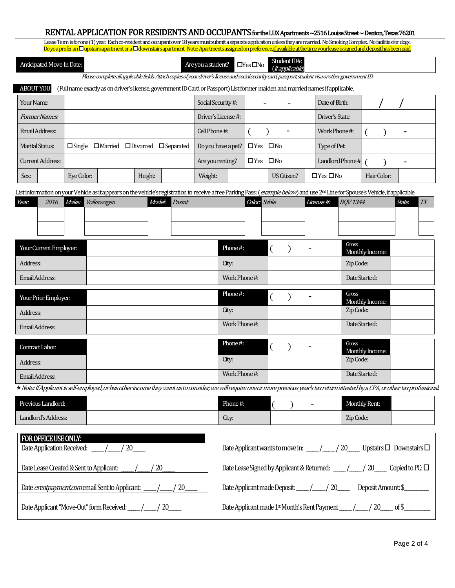## RENTAL APPLICATION FOR RESIDENTS AND OCCUPANTS for the LUX Apartments ~2516 Louise Street ~ Denton, Texas 76201

Lease Term is for one (1) year. Each co-resident and occupant over 18 years must submit a separate application unless they are married. No Smoking Complex. No facilities for dogs.<br>Do you prefer an O unstairs apartment or a Do you prefer an  $\Box$  upstairs apartment or a  $\Box$  downstairs apartment Note: Apartments assigned on preference, <u>if available at the time your lease is</u>

| Anticipated Move-In Date: |  |
|---------------------------|--|
|                           |  |

Are you a student?  $\Box$  Yes  $\Box$  No Student ID#: (if applicable)

Please complete all applicable fields. Attach copies of your driver's license and social security card, passport, student visa or other government I.D.

### ABOUTYOU A (Full name exactly as on driver's license, government ID Card or Passport)List former maiden and married names if applicable.

| Your Name:             |                                                               | Social Security #:                      | -<br>$\blacksquare$        | Date of Birth:       |                          |
|------------------------|---------------------------------------------------------------|-----------------------------------------|----------------------------|----------------------|--------------------------|
| <i>Former Names:</i>   |                                                               | Driver's License #:                     |                            | Driver's State:      |                          |
| Email Address:         |                                                               |                                         |                            | Work Phone#:         | $\overline{\phantom{a}}$ |
| <b>Marital Status:</b> | $\Box$ Single $\Box$ Married $\Box$ Divorced $\Box$ Separated | Do you have a pet? $\Box$ Yes $\Box$ No |                            | Type of Pet:         |                          |
| Current Address:       |                                                               |                                         | $\square$ No<br>$\Box$ Yes | Landlord Phone #     | $\overline{\phantom{0}}$ |
| Sex:                   | Height:<br>Eye Color:                                         | Weight:                                 | US Citizen?                | $\Box$ Yes $\Box$ No | Hair Color:              |

List information on your Vehicle as it appears on the vehicle's registration to receive a free Parking Pass: (example below) and use 2<sup>nd</sup> Line for Spouse's Vehicle, if applicable.

| Year: | 2016 | Make: Volkswagen | Model: Passat | <b>Color:</b> Sable | $License$ #: $BQV1344$ | State. | TTV |
|-------|------|------------------|---------------|---------------------|------------------------|--------|-----|
|       |      |                  |               |                     |                        |        |     |
|       |      |                  |               |                     |                        |        |     |
|       |      |                  |               |                     |                        |        |     |

| Your Current Employer: | Phone#:       |                | $\blacksquare$ | Gross<br>Monthly Income: |  |
|------------------------|---------------|----------------|----------------|--------------------------|--|
| Address:               | City:         |                |                | Zip Code:                |  |
| Email Address:         | Work Phone#:  |                |                | Date Started:            |  |
| Your Prior Employer:   | Phone#:       |                | $\blacksquare$ | Gross<br>Monthly Income: |  |
| Address:               | City:         |                |                | Zip Code:                |  |
| Email Address:         | Work Phone #: |                |                | Date Started:            |  |
| Contract Labor:        | Phone#:       | $\blacksquare$ |                | Gross<br>Monthly Income: |  |
| Address:               | City:         |                |                | Zip Code:                |  |
| Email Address:         | Work Phone #: |                |                | Date Started:            |  |

Note: If Applicant is self-employed,or has other income they want us to consider, we will require one or more previous year's tax return attested by a CPA, or other tax professional.

| Previous Landlord:  | Phone#:         |  | $\sim$ | Monthly Rent: |  |
|---------------------|-----------------|--|--------|---------------|--|
| Landlord's Address: | $\sim$<br>Lity: |  |        | Zip Code:     |  |

| <b>FOR OFFICE USE ONLY:</b><br>Date Application Received:<br>20 |                                                                                           |
|-----------------------------------------------------------------|-------------------------------------------------------------------------------------------|
| <sup>20</sup>                                                   | Date Lease Signed by Applicant & Returned: $\frac{1}{\sqrt{2}}$ / 20 Copied to PC: $\Box$ |
|                                                                 |                                                                                           |
|                                                                 |                                                                                           |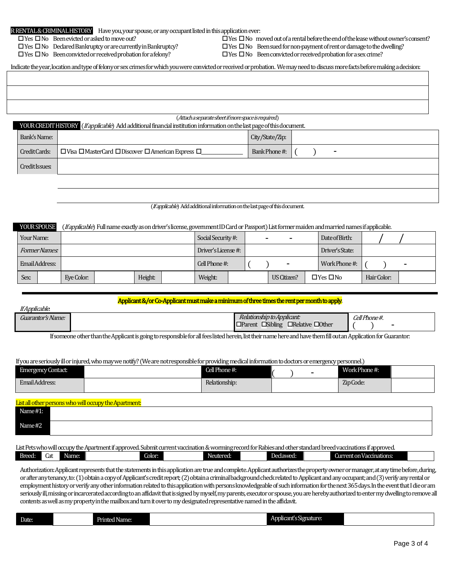| R RENTAL & CRIMINAL HISTORY Have you, your spouse, or any occupant listed in this application ever: |
|-----------------------------------------------------------------------------------------------------|
|                                                                                                     |

 $\Box$  Yes  $\Box$  No Been evicted or asked to move out?

 $\Box$  Yes  $\Box$  No Declared Bankruptcy or are currently in Bankruptcy?

 $\Box$  Yes  $\Box$  No Been convicted or received probation for a felony?

 $\Box$  Yes  $\Box$  No moved out of a rental before the end of the lease without owner's consent?  $\Box$  Yes  $\Box$  No Been sued for non-payment of rent or damage to the dwelling?

 $\Box$  Yes  $\Box$  No Been convicted or received probation for a sex crime?

Indicate the year, location and type of felony or sex crimes for which you were convicted or received or probation. We may need to discuss more facts before making a decision:

|                | (Attach a separate sheet if more space is required)<br>YOUR CREDIT HISTORY (If applicable) Add additional financial institution information on the last page of this document. |                 |  |   |  |  |
|----------------|--------------------------------------------------------------------------------------------------------------------------------------------------------------------------------|-----------------|--|---|--|--|
| Bank's Name:   |                                                                                                                                                                                | City/State/Zip: |  |   |  |  |
| Credit Cards:  | $\Box$ Visa $\Box$ MasterCard $\Box$ Discover $\Box$ American Express $\Box$                                                                                                   | Bank Phone #:   |  | - |  |  |
| Credit Issues: |                                                                                                                                                                                |                 |  |   |  |  |

(If applicable) Add additional information on the last page of this document.

#### YOUR SPOUSE (*If applicable*) Full name exactly as on driver's license, government ID Card or Passport) List former maiden and married names if applicable.

| Your Name:     |            |         | Social Security #:  | $\overline{\phantom{0}}$ | -              | Date of Birth:       |             |   |  |
|----------------|------------|---------|---------------------|--------------------------|----------------|----------------------|-------------|---|--|
| Former Names:  |            |         | Driver's License #: |                          |                | Driver's State:      |             |   |  |
| Email Address: |            |         | Cell Phone #:       |                          | $\blacksquare$ | Work Phone#:         |             | - |  |
| Sex:           | Eye Color: | Height: | Weight:             |                          | US Citizen?    | $\Box$ Yes $\Box$ No | Hair Color: |   |  |

## Applicant &/or Co-Applicant must make a minimum of three times the rent per month to apply.

| $\mathbf{r} \mathbf{c}$ | ____ | ---                                                                                                                       |                         |
|-------------------------|------|---------------------------------------------------------------------------------------------------------------------------|-------------------------|
| It Applicable.          | ____ | ________                                                                                                                  |                         |
| Guarantor's Name:       |      | $\mathbf{r}$<br><i>Relationship to Applicant:</i><br><b>Other</b><br>$\Box$ Relative L<br><b>Sibling</b><br>$\Box$ Parent | Cell Phone #.<br>$\sim$ |

If someone other than the Applicant is going to responsible for all fees listed herein, list their name here and have them fill out an Application for Guarantor:

If you are seriously ill or injured, who may we notify? (We are not responsible for providing medical information to doctors or emergency personnel.)

| <b>Emergency Contact:</b> | Cell Phone #: | - | Work Phone#: |  |
|---------------------------|---------------|---|--------------|--|
| Email Address:            | Relationship: |   | Zip Code:    |  |

|            | List all other persons who will occupy the Apartment: |
|------------|-------------------------------------------------------|
| Name $#1:$ |                                                       |
|            |                                                       |
| Name #2    |                                                       |
|            |                                                       |

List Petswho will occupy the Apartment if approved. Submit current vaccination & worming record for Rabies and other standard breed vaccinations if approved.

| Breed: | Cat | Name: | Color: | Neutered: | 'NA7A7<br><b>Dec</b><br>avvcu. | ent on Vaccinations:<br>'MITTL |  |
|--------|-----|-------|--------|-----------|--------------------------------|--------------------------------|--|
|        |     |       |        |           |                                |                                |  |

Authorization: Applicant represents that the statements in this application are true and complete. Applicant authorizes the property owner or manager, at any time before, during, or after any tenancy, to: (1) obtain a copy of Applicant's credit report; (2) obtain a criminal background check related to Applicant and any occupant; and (3) verify any rental or employment history or verify any other information related to this application with persons knowledgeable of such informationfor the next 365 days. In the event that I die or am seriously ill, missing or incarcerated according to an affidavit that is signed by myself, my parents, executor or spouse, you are hereby authorized to enter my dwelling to remove all contents as well as my property in the mailbox and turn it over to my designated representative named in the affidavit.

| Date: | __<br>l Name:<br>Printed | phicant's Signature:<br>۱n<br>. . |  |
|-------|--------------------------|-----------------------------------|--|
|       |                          |                                   |  |